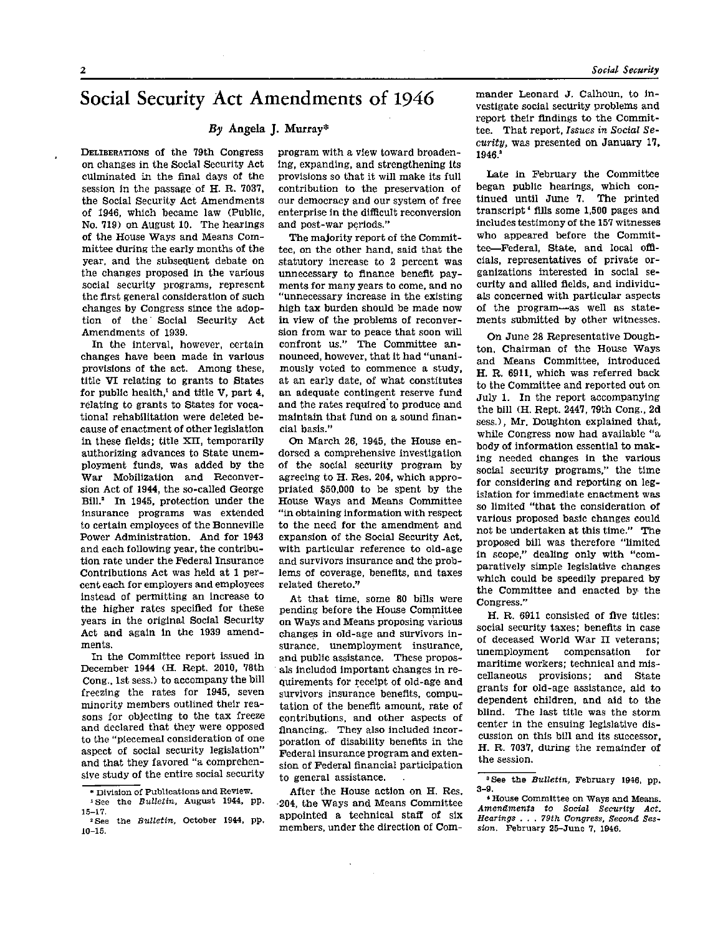# **Social Security Act Amendments of 1946**<br>*By* Angela J. Murray\*

DELIBERATIONS of the 79th Congress on changes in the Social Security Act culminated in the final days of the session in the passage of H. R. 7037, the Social Security Act Amendments of 1946, which became law (Public, No. 719) on August 10. The hearings of the House Ways and Means Committee during the early months of the year, and the subsequent debate on the changes proposed in the various social security programs, represent the first general consideration of such changes by Congress since the adoption of the Social Security Act Amendments of 1939.

In the interval, however, certain changes have been made in various provisions of the act. Among these, title VI relating to grants to States for public health, $<sup>1</sup>$  and title V, part 4,</sup> relating to grants to States for vocational rehabilitation were deleted because of enactment of other legislation in these fields; title XII, temporarily authorizing advances to State unemployment funds, was added by the War Mobilization and Reconversion Act of 1944, the so-called George Bill.<sup>2</sup> In 1945, protection under the insurance programs was extended to certain employees of the Bonneville Power Administration. And for 1943 and each following year, the contribution rate under the Federal Insurance Contributions Act was held at 1 percent each for employers and employees instead of permitting an increase to the higher rates specified for these years in the original Social Security Act and again in the 1939 amendments.

In the Committee report issued in December 1944 (H. Rept. 2010, 78th Cong., 1st sess.) to accompany the bill freezing the rates for 1945, seven minority members outlined their reasons for objecting to the tax freeze and declared that they were opposed to the "piecemeal consideration of one aspect of social security legislation" and that they favored "a comprehensive study of the entire social security program with a view toward broadening, expanding, and strengthening its provisions so that it will make its full contribution to the preservation of our democracy and our system of free enterprise in the difficult reconversion and post-war periods."

The majority report of the Committee, on the other hand, said that the statutory increase to 2 percent was unnecessary to finance benefit payments for many years to come, and no "unnecessary increase in the existing high tax burden should be made now in view of the problems of reconversion from war to peace that soon will confront us." The Committee announced, however, that it had "unanimously voted to commence a study, at an early date, of what constitutes an adequate contingent reserve fund and the rates required to produce and maintain that fund on a sound financial basis."

On March 26, 1945, the House endorsed a comprehensive investigation of the social security program by agreeing to H. Res. 204, which appropriated \$50,000 to be spent by the House Ways and Means Committee "in obtaining information with respect to the need for the amendment and expansion of the Social Security Act, with particular reference to old-age and survivors insurance and the problems of coverage, benefits, and taxes related thereto.''

At that time, some 80 bills were pending before the House Committee on Ways and Means proposing various changes in old-age and survivors insurance, unemployment insurance, and public assistance. These proposals included important changes in requirements for receipt of old-age and survivors insurance benefits, computation of the benefit amount, rate of contributions, and other aspects of financing. They also included incorporation of disability benefits in the Federal insurance program and extension of Federal financial participation to general assistance.  $\sim$ 

After the House action on H. Res. •204, the Ways and Means Committee appointed a technical staff of six members, under the direction of Commander Leonard J. Calhoun, to investigate social security problems and report their findings to the Committee. That report, *Issues in Social Security,* was presented on January 17, 1946.

Late in February the Committee began public hearings, which continued until June 7. The printed transcript<sup>+</sup> fills some 1,500 pages and includes testimony of the 157 witnesses who appeared before the Committee—Federal, State, and local officials, representatives of private organizations interested in social security and allied fields, and individuals concerned with particular aspects of the program—as well as statements submitted by other witnesses.

On June 28 Representative Doughton, Chairman of the House Ways and Means Committee, introduced H. R. 6911, which was referred back to the Committee and reported out on July 1. In the report accompanying the bill (H. Rept. 2447, 79th Cong., 2d sess.), Mr. Doughton explained that, while Congress now had available "a body of information essential to making needed changes in the various social security programs," the time for considering and reporting on legislation for immediate enactment was so limited "that the consideration of various proposed basic changes could not be undertaken at this time." The proposed bill was therefore "limited in scope," dealing only with "comparatively simple legislative changes which could be speedily prepared by the Committee and enacted by the Congress."

H. R. 6911 consisted of five titles: social security taxes; benefits in case of deceased World War II veterans; unemployment compensation for maritime workers; technical and miscellaneous provisions; and State grants for old-age assistance, aid to dependent children, and aid to the blind. The last title was the storm center in the ensuing legislative discussion on this bill and its successor, H. R. 7037, during the remainder of the session.

**<sup>\*</sup> Division of Publications and Review.** 

**<sup>1</sup>See the** *Bulletin,* **August 1944, pp. 15-17.** 

**<sup>2</sup> See the** *Bulletin,* **October 1944, pp. 10-15.** 

**<sup>8</sup> See the** *Bulletin,* **February 1946, pp. 3-9.** 

**<sup>4</sup> House Committee on Ways and Means.** *Amendments to Social Security Act. Hearings* **. . .** *79th Congress, Second Session.* **February 25-June 7, 1946.**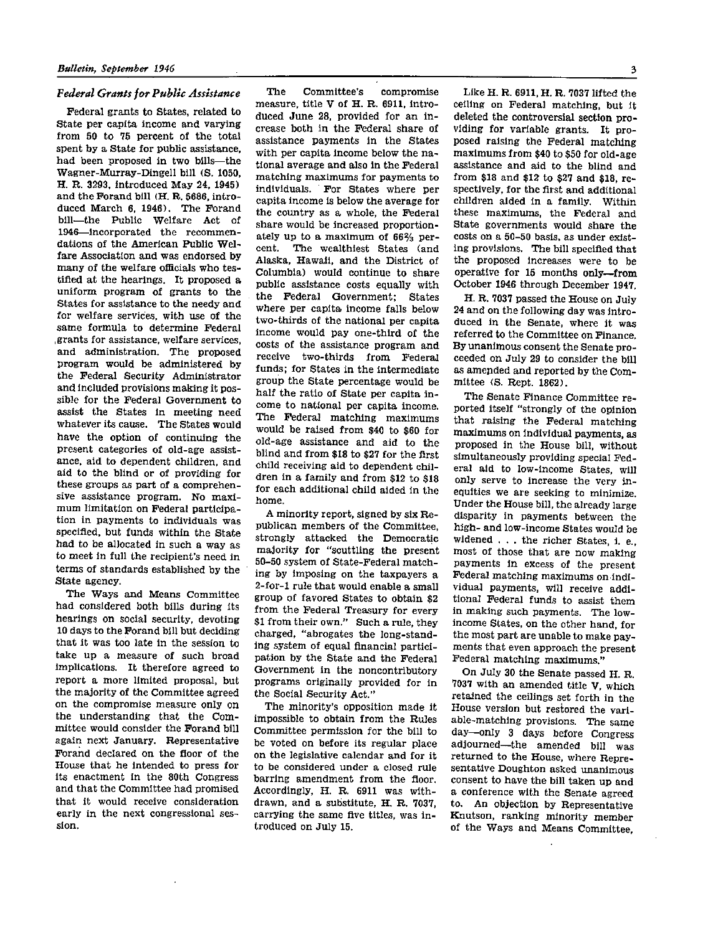### *Federal Grants for Public Assistance*

Federal grants to States, related to State per capita income and varying from 50 to 75 percent of the total spent by a State for public assistance, had been proposed in two bills—the Wagner-Murray-Dingell bill (S. 1050, H. R. 3293, introduced May 24, 1945) and the Forand bill (H. R. 5686, introduced March 6, 1946). The Forand bill—the Public Welfare Act of 1946—incorporated the recommendations of the American Public Welfare Association and was endorsed by many of the welfare officials who testified at the hearings. It proposed a uniform program of grants to the States for assistance to the needy and for welfare services, with use of the same formula to determine Federal grants for assistance, welfare services, and administration. The proposed program would be administered by the Federal Security Administrator and included provisions making it possible for the Federal Government to assist the States in meeting need whatever its cause. The States would have the option of continuing the present categories of old-age assistance, aid to dependent children, and aid to the blind or of providing for these groups as part of a comprehensive assistance program. No maximum limitation on Federal participation in payments to individuals was specified, but funds within the State had to be allocated in such a way as to meet in full the recipient's need in terms of standards established by the State agency.

The Ways and Means Committee had considered both bills during its hearings on social security, devoting 10 days to the Forand bill but deciding that it was too late in the session to take up a measure of such broad implications. It therefore agreed to report a more limited proposal, but the majority of the Committee agreed on the compromise measure only on the understanding that the Committee would consider the Forand bill again next January. Representative Forand declared on the floor of the House that he intended to press for its enactment in the 80th Congress and that the Committee had promised that it would receive consideration early in the next congressional session.

The Committee's compromise measure, title V of H. R. 6911, introduced June 28, provided for an increase both in the Federal share of assistance payments in the States with per capita income below the national average and also in the Federal matching maximums for payments to individuals. For States where per capita income is below the average for the country as a whole, the Federal share would be increased proportionately up to a maximum of 66% percent. The wealthiest States (and Alaska, Hawaii, and the District of Columbia) would continue to share public assistance costs equally with the Federal Government: States where per capita income falls below two-thirds of the national per capita income would pay one-third of the costs of the assistance program and receive two-thirds from Federal funds; for States in the intermediate group the State percentage would be half the ratio of State per capita income to national per capita income. The Federal matching maximums would be raised from \$40 to \$60 for old-age assistance and aid to the blind and from \$18 to \$27 for the first child receiving aid to dependent children in a family and from \$12 to \$18 for each additional child aided in the home.

A minority report, signed by six Republican members of the Committee, strongly attacked the Democratic majority for "scuttling the present 50-50 system of State-Federal matching by imposing on the taxpayers a 2-for-l rule that would enable a small group of favored States to obtain \$2 from the Federal Treasury for every \$1 from their own." Such a rule, they charged, "abrogates the long-standing system of equal financial participation by the State and the Federal Government in the noncontributory programs originally provided for in the Social Security Act."

The minority's opposition made it impossible to obtain from the Rules Committee permission for the bill to be voted on before its regular place on the legislative calendar and for it to be considered under a closed rule barring amendment from the floor. Accordingly, H. R. 6911 was withdrawn, and a substitute, H. R. 7037, carrying the same five titles, was introduced on July 15.

Like H. R. 6911, H. R. 7037 lifted the ceiling on Federal matching, but it deleted the controversial section providing for variable grants. It proposed raising the Federal matching maximums from \$40 to \$50 for old-age assistance and aid to the blind and from \$18 and \$12 to \$27 and \$18, respectively, for the first and additional children aided in a family. Within these maximums, the Federal and State governments would share the costs on a 50-50 basis, as under existing provisions. The bill specified that the proposed increases were to be operative for 15 months only—from October 1946 through December 1947.

H. R. 7037 passed the House on July 24 and on the following day was introduced in the Senate, where it was referred to the Committee on Finance. By unanimous consent the Senate proceeded on July 29 to consider the bill as amended and reported by the Committee (S. Rept. 1862).

The Senate Finance Committee reported itself "strongly of the opinion that raising the Federal matching maximums on individual payments, as proposed in the House bill, without simultaneously providing special Federal aid to low-income States, will only serve to increase the very inequities we are seeking to minimize. Under the House bill, the already large disparity in payments between the high- and low-income States would be widened . . . the richer States, i. e., most of those that are now making payments in excess of the present Federal matching maximums on individual payments, will receive additional Federal funds to assist them in making such payments. The lowincome States, on the other hand, for t he most part are unable to make payments that even approach the present Federal matching maximums."

On July 30 the Senate passed H. R. 7037 with an amended title V, which retained the ceilings set forth in the House version but restored the variable-matching provisions. The same day—only 3 days before Congress adjourned—the amended bill was returned to the House, where Representative Doughton asked unanimous consent to have the bill taken up and a conference with the Senate agreed to. An objection by Representative Knutson, ranking minority member of the Ways and Means Committee,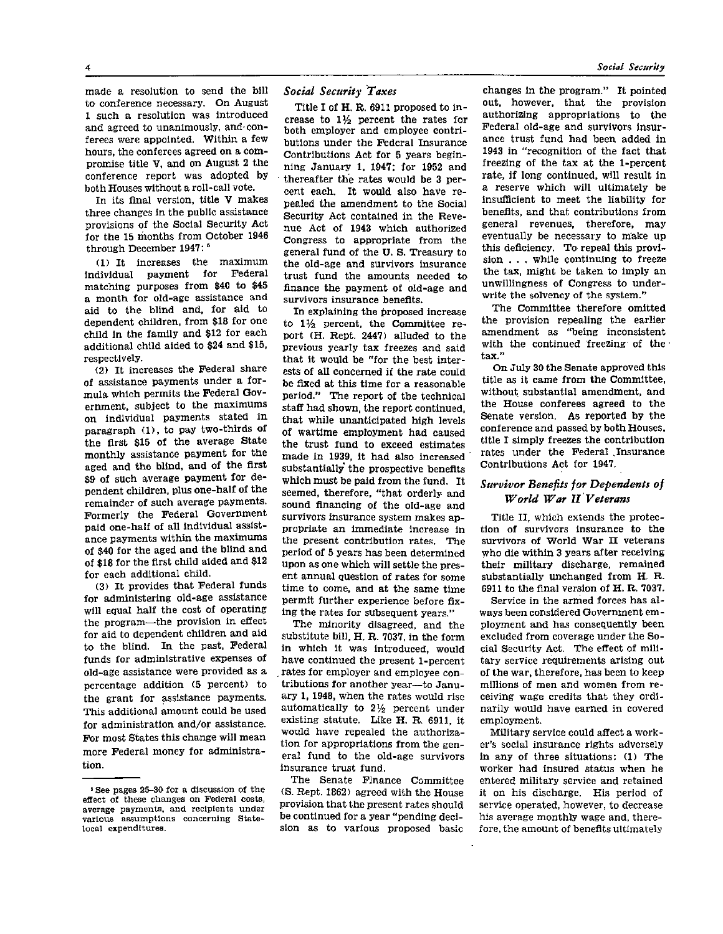made a resolution to send the bill to conference necessary. On August 1 such a resolution was introduced and agreed to unanimously, and conferees were appointed. Within a few hours, the conferees agreed on a compromise title V, and on August 2 the conference report was adopted by both Houses without a roll-call vote.

In its final version, title V makes three changes in the public assistance provisions of the Social Security Act for the 15 months from October 1946 through December 1947:<sup>5</sup>

(1) It increases the maximum individual payment for Federal matching purposes from \$40 to \$45 a month for old-age assistance and aid to the blind and, for aid to dependent children, from \$18 for one child in the family and \$12 for each additional child aided to \$24 and \$15, respectively.

(2) It increases the Federal share of assistance payments under a formula which permits the Federal Government, subject to the maximums on individual payments stated in paragraph (1), to pay two-thirds of the first \$15 of the average State monthly assistance payment for the aged and the blind, and of the first \$9 of such average payment for dependent children, plus one-half of the remainder of such average payments. Formerly the Federal Government paid one-half of all individual assistance payments within the maximums of \$40 for the aged and the blind and of \$18 for the first child aided and \$12 for each additional child.

(3) It provides that Federal funds for administering old-age assistance will equal half the cost of operating the program—the provision in effect for aid to dependent children and aid to the blind. In the past, Federal funds for administrative expenses of old-age assistance were provided as a percentage addition (5 percent) to the grant for assistance payments. This additional amount could be used for administration and/or assistance. For most States this change will mean more Federal money for administration.

# *Social Security Taxes*

Title I of H. R. 6911 proposed to increase to  $1\frac{1}{2}$  percent the rates for both employer and employee contributions under the Federal Insurance Contributions Act for 5 years beginning January 1, 1947; for 1952 and • thereafter the rates would be 3 percent each. It would also have repealed the amendment to the Social Security Act contained in the Revenue Act of 1943 which authorized Congress to appropriate from the general fund of the U. S. Treasury to the old-age and survivors insurance trust fund the amounts needed to finance the payment of old-age and survivors insurance benefits.

In explaining the proposed increase to  $1\frac{1}{2}$  percent, the Committee report (H. Rept. 2447) alluded to the previous yearly tax freezes and said that it would be "for the best interests of all concerned if the rate could be fixed at this time for a reasonable period." The report of the technical staff had shown, the report continued, that while unanticipated high levels of wartime employment had caused the trust fund to exceed estimates made in 1939, it had also increased substantially the prospective benefits which must be paid from the fund. It seemed, therefore, "that orderly and sound financing of the old-age and survivors insurance system makes appropriate an immediate increase in the present contribution rates. The period of 5 years has been determined upon as one which will settle the present annual question of rates for some time to come, and at the same time permit further experience before fixing the rates for subsequent years."

The minority disagreed, and the substitute bill, H. R. 7037, in the form in which it was introduced, would have continued the present 1-percent rates for employer and employee contributions for another year—to January 1, 1948, when the rates would rise automatically to  $2\frac{1}{2}$  percent under existing statute. Like H. R. 6911, it would have repealed the authorization for appropriations from the general fund to the old-age survivors insurance trust fund.

The Senate Finance Committee (S. Rept. 1862) agreed with the House provision that the present rates should be continued for a year "pending decision as to various proposed basic

changes in the program." It pointed out, however, that the provision authorizing appropriations to the Federal old-age and survivors insurance trust fund had been added in 1943 in "recognition of the fact that freezing of the tax at the 1-percent rate, if long continued, will result in a reserve which will ultimately be insufficient to meet the liability for benefits, and that contributions from general revenues, therefore, may eventually be necessary to make up this deficiency. To repeal this provision . . . while continuing to freeze the tax, might be taken to imply an unwillingness of Congress to underwrite the solvency of the system."

The Committee therefore omitted the provision repealing the earlier amendment as "being inconsistent with the continued freezing of the tax."

On July 30 the Senate approved this title as it came from the Committee, without substantial amendment, and the House conferees agreed to the Senate version. As reported by the conference and passed by both Houses, title I simply freezes the contribution rates under the Federal Insurance Contributions Act for 1947.

# *Survivor Benefits for Dependents of World War II Veterans*

Title II, which extends the protection of survivors insurance to the survivors of World War II veterans who die within 3 years after receiving their military discharge, remained substantially unchanged from H. R. 6911 to the final version of H. R. 7037.

Service in the armed forces has always been considered Government employment and has consequently been excluded from coverage under the Social Security Act. The effect of military service requirements arising out of the war, therefore, has been to keep millions of men and women from receiving wage credits that they ordinarily would have earned in covered employment.

Military service could affect a worker's social insurance rights adversely in any of three situations: (1) The worker had insured status when he entered military service and retained it on his discharge. His period of service operated, however, to decrease his average monthly wage and, therefore, the amount of benefits ultimately

**<sup>5</sup> See pages 25-30 for a discussion of the effect of these changes on Federal costs, average payments, and recipients under various assumptions concerning Statelocal expenditures.**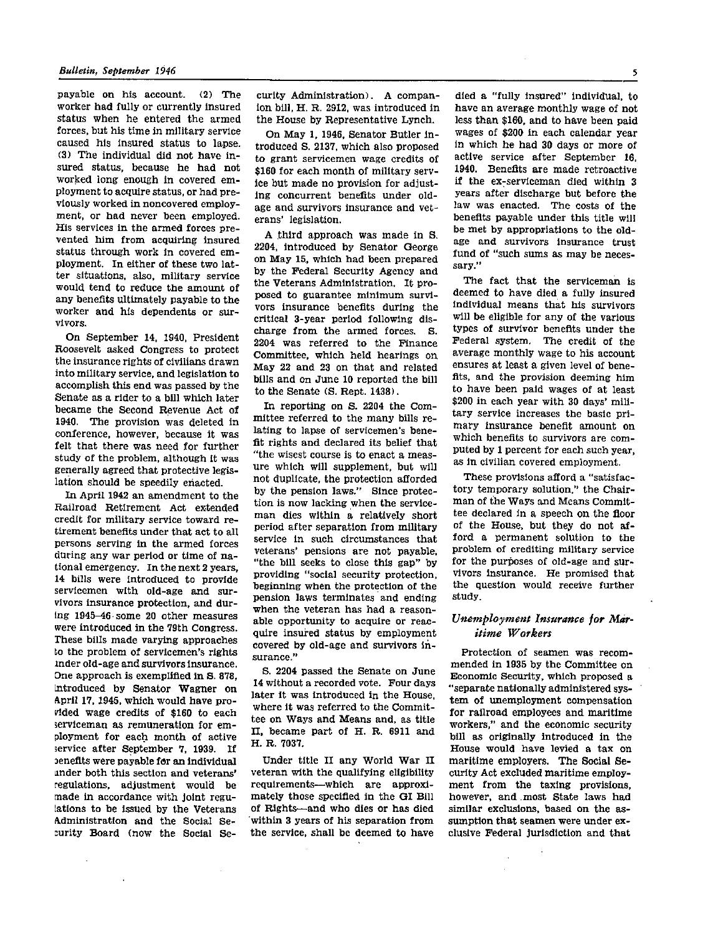payable on his account. (2) The worker had fully or currently insured status when he entered the armed forces, but his time in military service caused his insured status to lapse. (3) The individual did not have insured status, because he had not worked long enough in covered employment to acquire status, or had previously worked in noncovered employment, or had never been employed. His services in the armed forces prevented him from acquiring insured status through work in covered employment. In either of these two latter situations, also, military service would tend to reduce the amount of any benefits ultimately payable to the worker and his dependents or survivors.

On September 14, 1940, President Roosevelt asked Congress to protect the insurance rights of civilians drawn into military service, and legislation to accomplish this end was passed by the Senate as a rider to a bill which later became the Second Revenue Act of 1940. The provision was deleted in conference, however, because it was felt that there was need for further study of the problem, although it was generally agreed that protective legislation should be speedily enacted.

In April 1942 an amendment to the Railroad Retirement Act extended credit for military service toward retirement benefits under that act to all persons serving in the armed forces during any war period or time of national emergency. In the next 2 years, 14 bills were introduced to provide servicemen with old-age and survivors insurance protection, and during 1945-46 some 20 other measures were introduced in the 79th Congress. These bills made varying approaches to the problem of servicemen's rights under old-age and survivors insurance. One approach is exemplified in S. 878, introduced by Senator Wagner on April 17, 1945, which would have provided wage credits of \$160 to each serviceman as remuneration for employment for each month of active service after September 7, 1939. If **benefits** were payable for an individual under both this section and veterans' regulations, adjustment would be made in accordance with joint regulations to be issued by the Veterans Administration and the Social Security Board (now the Social Se-

 $\star$ 

curity Administration). A companion bill, H. R. 2912, was introduced in the House by Representative Lynch.

On May 1, 1946, Senator Butler introduced S. 2137, which also proposed to grant servicemen wage credits of \$160 for each month of military service but made no provision for adjusting concurrent benefits under oldage and survivors insurance and veterans' legislation.

A third approach was made in S. 2204, introduced by Senator George on May 15, which had been prepared by the Federal Security Agency and the Veterans Administration. It proposed to guarantee minimum survivors insurance benefits during the critical 3-year period following discharge from the armed forces. S. 2204 was referred to the Finance Committee, which held hearings on May 22 and 23 on that and related bills and on June 10 reported the bill to the Senate (S. Rept. 1438).

In reporting on S. 2204 the Committee referred to the many bills relating to lapse of servicemen's benefit rights and declared its belief that "the wisest course is to enact a measure which will supplement, but will not duplicate, the protection afforded by the pension laws." Since protection is now lacking when the serviceman dies within a relatively short period after separation from military service in such circumstances that veterans' pensions are not payable, "the bill seeks to close this gap" by providing "social security protection, beginning when the protection of the pension laws terminates and ending when the veteran has had a reasonable opportunity to acquire or reacquire insured status by employment covered by old-age and survivors insurance."

S. 2204 passed the Senate on June 14 without a recorded vote. Four days later it was introduced in the House, where it was referred to the Committee on Ways and Means and, as title II, became part of H. R. 6911 and H. R. 7037.

Under title II any World War II veteran with the qualifying eligibility requirements—which are approximately those specified in the GI Bill of Rights—and who dies or has died within 3 years of his separation from the service, shall be deemed to have

died a "fully insured" individual, to have an average monthly wage of not less than \$160, and to have been paid wages of \$200 in each calendar year in which he had 30 days or more of active service after September 16, 1940. Benefits are made retroactive if the ex-serviceman died within 3 years after discharge but before the law was enacted. The costs of the benefits payable under this title will be met by appropriations to the oldage and survivors insurance trust fund of "such sums as may be necessary."

The fact that the serviceman is deemed to have died a fully insured individual means that his survivors will be eligible for any of the various types of survivor benefits under the Federal system. The credit of the average monthly wage to his account ensures at least a given level of benefits, and the provision deeming him to have been paid wages of at least \$200 in each year with 30 days' military service increases the basic primary insurance benefit amount on which benefits to survivors are computed by 1 percent for each such year, as in civilian covered employment.

These provisions afford a "satisfactory temporary solution," the Chairm an of the Ways and Means Committee declared in a speech on the floor of the House, but they do not afford a permanent solution to the problem of crediting military service for the purposes of old-age and survivors insurance. He promised that the question would receive further study.

# *Unemployment Insurance for Maritime Workers*

Protection of seamen was recommended in 1935 by the Committee on Economic Security, which proposed a "separate nationally administered system of unemployment compensation for railroad employees and maritime workers," and the economic security bill as originally introduced in the House would have levied a tax on maritime employers. The Social Security Act excluded maritime employment from the taxing provisions, however, and most State laws had similar exclusions, based on the assumption that seamen were under exclusive Federal jurisdiction and that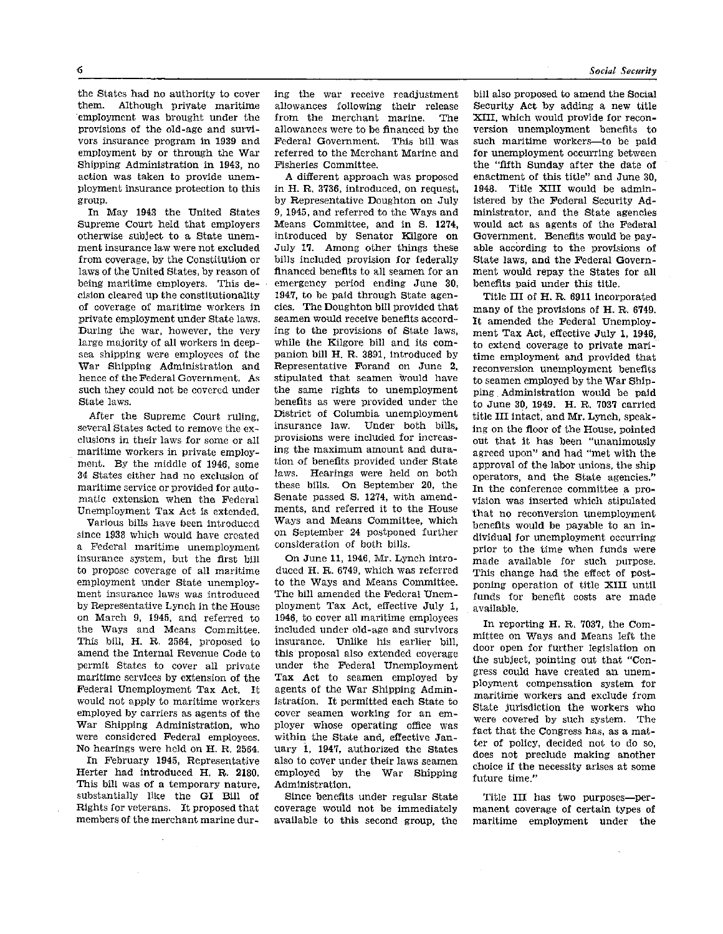б

the States had no authority to cover them. Although private maritime employment was brought under the provisions of the old-age and survivors insurance program in 1939 and employment by or through the War Shipping Administration in 1943, no action was taken to provide unemployment insurance protection to this group.

In May 1943 the United States Supreme Court held that employers otherwise subject to a State unemment insurance law were not excluded from coverage, by the Constitution or laws of the United States, by reason of being maritime employers. This decision cleared up the constitutionality of coverage of maritime workers in private employment under State laws. During the war, however, the very large majority of all workers in deepsea shipping were employees of the War Shipping Administration and hence of the Federal Government. As such they could not be covered under State laws.

After the Supreme Court ruling, several States acted to remove the exclusions in their laws for some or all maritime workers in private employment. By the middle of 1946, some 34 States either had no exclusion of maritime service or provided for automatic extension when the Federal Unemployment Tax Act is extended.

Various bills have been introduced since 1938 which would have created a Federal maritime unemployment insurance system, but the first bill to propose coverage of all maritime employment under State unemployment insurance laws was introduced by Representative Lynch in the House on March 9, 1945, and referred to the Ways and Means Committee. This bill, H. R. 2564, proposed to amend the Internal Revenue Code to permit States to cover all private maritime services by extension of the Federal Unemployment Tax Act. It would not apply to maritime workers employed by carriers as agents of the War Shipping Administration, who were considered Federal employees. No hearings were held on H. R. 2564. In February 1945, Representative

Herter had introduced H. R. 2180. This bill was of a temporary nature, substantially like the GI Bill of Rights for veterans. It proposed that members of the merchant marine during the war receive readjustment allowances following their release<br>from the merchant marine. The from the merchant marine. allowances were to be financed by the Federal Government. This bill was referred to the Merchant Marine and Fisheries Committee.

A different approach was proposed in H. R. 3736, introduced, on request, by Representative Doughton on July 9, 1945, and referred to the Ways and Means Committee, and in S. 1274, introduced by Senator Kilgore on July 17. Among other things these bills included provision for federally financed benefits to all seamen for an emergency period ending June 30, 1947, to be paid through State agencies. The Doughton bill provided that seamen would receive benefits according to the provisions of State laws, while the Kilgore bill and its companion bill H. R. 3891, introduced by Representative Forand on June 2, stipulated that seamen would have the same rights to unemployment benefits as were provided under the District of Columbia unemployment insurance law. Under both bills, provisions were included for increasing the maximum amount and duration of benefits provided under State laws. Hearings were held on both these bills. On September 20, the Senate passed S. 1274, with amendments, and referred it to the House ments, and referred it to the House<br>Ways and Means Committee, which Ways and Means Committee, which<br>on September 24 postponed further on September 24 postponed further<br>consideration of both bills.

On June 11, 1946, Mr. Lynch introduced H. R. 6749, which was referred to the Ways and Means Committee. The bill amended the Federal Unemployment Tax Act, effective July 1, 1946, to cover all maritime employees included under old-age and survivors insurance. Unlike his earlier bill, this proposal also extended coverage under the Federal Unemployment Tax Act to seamen employed by agents of the War Shipping Administration. It permitted each State to cover seamen working for an employer whose operating office was within the State and, effective January 1, 1947, authorized the States also to cover under their laws seamen employed by the War Shipping Administration.

Since benefits under regular State coverage would not be immediately available to this second group, the bill also proposed to amend the Social Security Act by adding a new title XIII, which would provide for reconversion unemployment benefits to such maritime workers—to be paid for unemployment occurring between the "fifth Sunday after the date of enactment of this title" and June 30, 1948. Title XIII would be administered by the Federal Security Administrator, and the State agencies would act as agents of the Federal Government. Benefits would be payable according to the provisions of State laws, and the Federal Government would repay the States for all benefits paid under this title.

Title III of H. R. 6911 incorporated many of the provisions of H. R. 6749. It amended the Federal Unemployment Tax Act, effective July 1, 1946, to extend coverage to private maritime employment and provided that reconversion unemployment benefits to seamen employed by the War Shipping Administration would be paid to June 30, 1949. H. R. 7037 carried title III intact, and Mr. Lynch, speaking on the floor of the House, pointed out that it has been "unanimously agreed upon" and had "met with the approval of the labor unions, the ship operators, and the State agencies." In the conference committee a provision was inserted which stipulated that no reconversion unemployment benefits would be payable to an individual for unemployment occurring prior to the time when funds were made available for such purpose. This change had the effect of postponing operation of title XIII until funds for benefit costs are made available.

In reporting H. R. 7037, the Committee on Ways and Means left the door open for further legislation on the subject, pointing out that "Congress could have created an unemployment compensation system for maritime workers and exclude from State jurisdiction the workers who were covered by such system. The fact that the Congress has, as a matter of policy, decided not to do so, does not preclude making another choice if the necessity arises at some future time."

Title III has two purposes—permanent coverage of certain types of maritime employment under the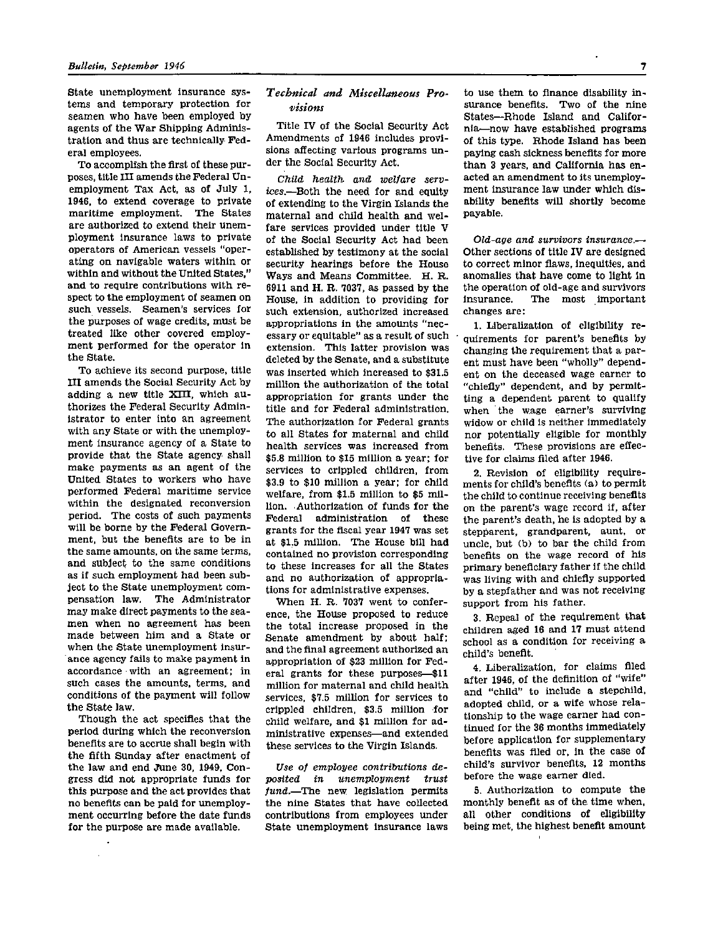State unemployment insurance systems and temporary protection for seamen who have been employed by agents of the War Shipping Administration and thus are technically Federal employees.

To accomplish the first of these purposes, title III amends the Federal Unemployment Tax Act, as of July 1, 1946, to extend coverage to private maritime employment. The States are authorized to extend their unemployment insurance laws to private operators of American vessels "operating on navigable waters within or within and without the United States," and to require contributions with respect to the employment of seamen on such vessels. Seamen's services for the purposes of wage credits, must be treated like other covered employment performed for the operator in the State.

To achieve its second purpose, title III amends the Social Security Act by adding a new title XIII, which authorizes the Federal Security Administrator to enter into an agreement with any State or with the unemployment insurance agency of a State to provide that the State agency shall make payments as an agent of the United States to workers who have performed Federal maritime service within the designated reconversion period. The costs of such payments will be borne by the Federal Government, but the benefits are to be in the same amounts, on the same terms, and subject to the same conditions as if such employment had been subject to the State unemployment compensation law. The Administrator may make direct payments to the seamen when no agreement has been made between him and a State or when the State unemployment insurance agency fails to make payment in accordance with an agreement; in such cases the amounts, terms, and conditions of the payment will follow the State law.

Though the act specifies that the period during which the reconversion benefits are to accrue shall begin with the fifth Sunday after enactment of the law and end June 30, 1949, Congress did not appropriate funds for this purpose and the act provides that no benefits can be paid for unemployment occurring before the date funds for the purpose are made available.

 $\lambda$ 

# *Technical and Miscellaneous Provisions*

Title IV of the Social Security Act Amendments of 1946 includes provisions affecting various programs under the Social Security Act.

*Child health and welfare services.*—Both the need for and equity of extending to the Virgin Islands the maternal and child health and welfare services provided under title V of the Social Security Act had been established by testimony at the social security hearings before the House Ways and Means Committee. H. R. 6911 and H. R. 7037, as passed by the House, in addition to providing for such extension, authorized increased appropriations in the amounts "necessary or equitable" as a result of such extension. This latter provision was deleted by the Senate, and a substitute was inserted which increased to \$31.5 million the authorization of the total appropriation for grants under the title and for Federal administration. The authorization for Federal grants to all States for maternal and child health services was increased from \$5.8 million to \$15 million a year; for services to crippled children, from \$3.9 to \$10 million a year; for child welfare, from \$1.5 million to \$5 million. Authorization of funds for the Federal administration of these grants for the fiscal year 1947 was set at \$1.5 million. The House bill had contained no provision corresponding to these increases for all the States and no authorization of appropriations for administrative expenses.

When H. R. 7037 went to conference, the House proposed to reduce the total increase proposed in the Senate amendment by about half; and the final agreement authorized an appropriation of \$23 million for Federal grants for these purposes--\$11 million for maternal and child health services, \$7.5 million for services to crippled children, \$3.5 million for child welfare, and \$1 million for administrative expenses—and extended these services to the Virgin Islands.

*Use of employee contributions deposited in unemployment trust fund.*—The new legislation permits the nine States that have collected contributions from employees under State unemployment insurance laws

to use them to finance disability insurance benefits. Two of the nine States—Rhode Island and California—now have established programs of this type. Rhode Island has been paying cash sickness benefits for more than 3 years, and California has enacted an amendment to its unemployment insurance law under which disability benefits will shortly become payable.

*Old-age and survivors insurance.—*  Other sections of title IV are designed to correct minor flaws, inequities, and anomalies that have come to light in the operation of old-age and survivors<br>insurance. The most important The most important changes are:

1. Liberalization of eligibility requirements for parent's benefits by changing the requirement that a parent must have been "wholly" dependent on the deceased wage earner to "chiefly" dependent, and by permitting a dependent parent to qualify when the wage earner's surviving widow or child is neither immediately nor potentially eligible for monthly benefits. These provisions are effective for claims filed after 1946.

2. Revision of eligibility requirements for child's benefits (a) to permit the child to continue receiving benefits on the parent's wage record if, after the parent's death, he is adopted by a stepparent, grandparent, aunt, or uncle, but (b) to bar the child from benefits on the wage record of his primary beneficiary father if the child was living with and chiefly supported by a stepfather and was not receiving support from his father.

3. Repeal of the requirement that children aged 16 and 17 must attend school as a condition for receiving a child's benefit.

4. Liberalization, for claims filed after 1946, of the definition of "wife" and "child" to include a stepchild, adopted child, or a wife whose relationship to the wage earner had continued for the 36 months immediately before application for supplementary benefits was filed or, in the case of child's survivor benefits, 12 months before the wage earner died.

5. Authorization to compute the monthly benefit as of the time when, all other conditions of eligibility being met, the highest benefit amount